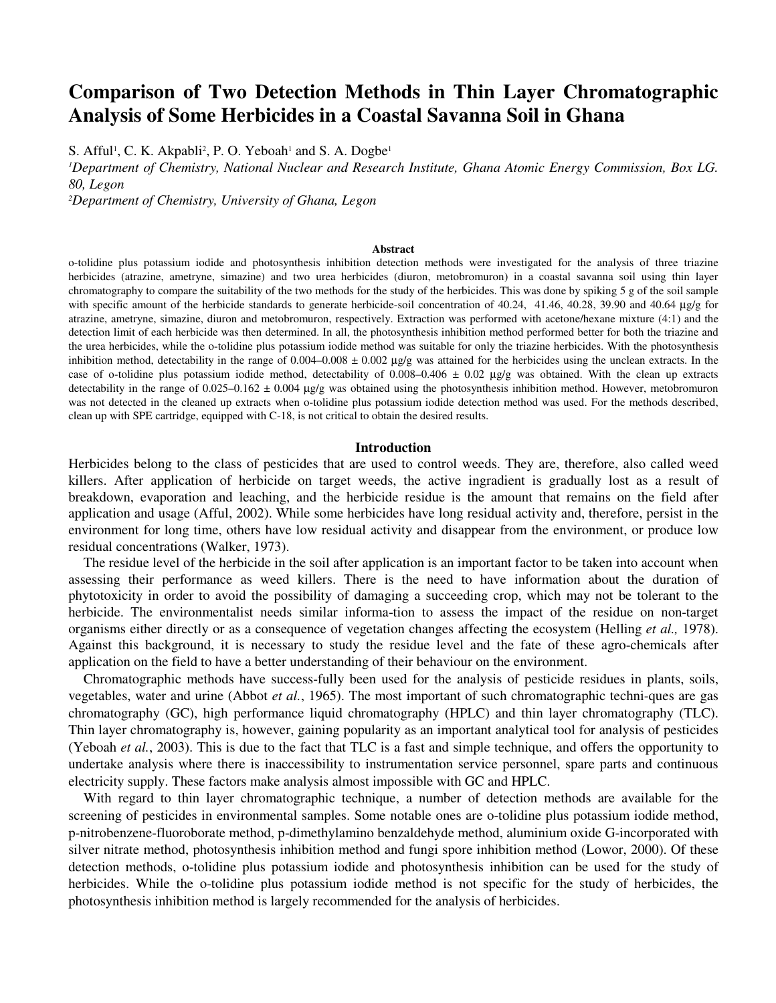# **Comparison of Two Detection Methods in Thin Layer Chromatographic Analysis of Some Herbicides in a Coastal Savanna Soil in Ghana**

S. Afful<sup>1</sup>, C. K. Akpabli<sup>2</sup>, P. O. Yeboah<sup>1</sup> and S. A. Dogbe<sup>1</sup>

*<sup>1</sup>Department of Chemistry, National Nuclear and Research Institute, Ghana Atomic Energy Commission, Box LG. 80, Legon* 

*<sup>2</sup>Department of Chemistry, University of Ghana, Legon* 

#### **Abstract**

o-tolidine plus potassium iodide and photosynthesis inhibition detection methods were investigated for the analysis of three triazine herbicides (atrazine, ametryne, simazine) and two urea herbicides (diuron, metobromuron) in a coastal savanna soil using thin layer chromatography to compare the suitability of the two methods for the study of the herbicides. This was done by spiking 5 g of the soil sample with specific amount of the herbicide standards to generate herbicide-soil concentration of 40.24, 41.46, 40.28, 39.90 and 40.64 µg/g for atrazine, ametryne, simazine, diuron and metobromuron, respectively. Extraction was performed with acetone/hexane mixture (4:1) and the detection limit of each herbicide was then determined. In all, the photosynthesis inhibition method performed better for both the triazine and the urea herbicides, while the o-tolidine plus potassium iodide method was suitable for only the triazine herbicides. With the photosynthesis inhibition method, detectability in the range of  $0.004-0.008 \pm 0.002$  µg/g was attained for the herbicides using the unclean extracts. In the case of o-tolidine plus potassium iodide method, detectability of  $0.008-0.406 \pm 0.02$  µg/g was obtained. With the clean up extracts detectability in the range of  $0.025-0.162 \pm 0.004$   $\mu$ g/g was obtained using the photosynthesis inhibition method. However, metobromuron was not detected in the cleaned up extracts when o-tolidine plus potassium iodide detection method was used. For the methods described, clean up with SPE cartridge, equipped with C-18, is not critical to obtain the desired results.

#### **Introduction**

Herbicides belong to the class of pesticides that are used to control weeds. They are, therefore, also called weed killers. After application of herbicide on target weeds, the active ingradient is gradually lost as a result of breakdown, evaporation and leaching, and the herbicide residue is the amount that remains on the field after application and usage (Afful, 2002). While some herbicides have long residual activity and, therefore, persist in the environment for long time, others have low residual activity and disappear from the environment, or produce low residual concentrations (Walker, 1973).

The residue level of the herbicide in the soil after application is an important factor to be taken into account when assessing their performance as weed killers. There is the need to have information about the duration of phytotoxicity in order to avoid the possibility of damaging a succeeding crop, which may not be tolerant to the herbicide. The environmentalist needs similar informa-tion to assess the impact of the residue on non-target organisms either directly or as a consequence of vegetation changes affecting the ecosystem (Helling *et al.,* 1978). Against this background, it is necessary to study the residue level and the fate of these agro-chemicals after application on the field to have a better understanding of their behaviour on the environment.

Chromatographic methods have success-fully been used for the analysis of pesticide residues in plants, soils, vegetables, water and urine (Abbot *et al.*, 1965). The most important of such chromatographic techni-ques are gas chromatography (GC), high performance liquid chromatography (HPLC) and thin layer chromatography (TLC). Thin layer chromatography is, however, gaining popularity as an important analytical tool for analysis of pesticides (Yeboah *et al.*, 2003). This is due to the fact that TLC is a fast and simple technique, and offers the opportunity to undertake analysis where there is inaccessibility to instrumentation service personnel, spare parts and continuous electricity supply. These factors make analysis almost impossible with GC and HPLC.

With regard to thin layer chromatographic technique, a number of detection methods are available for the screening of pesticides in environmental samples. Some notable ones are o-tolidine plus potassium iodide method, p-nitrobenzene-fluoroborate method, p-dimethylamino benzaldehyde method, aluminium oxide G-incorporated with silver nitrate method, photosynthesis inhibition method and fungi spore inhibition method (Lowor, 2000). Of these detection methods, o-tolidine plus potassium iodide and photosynthesis inhibition can be used for the study of herbicides. While the o-tolidine plus potassium iodide method is not specific for the study of herbicides, the photosynthesis inhibition method is largely recommended for the analysis of herbicides.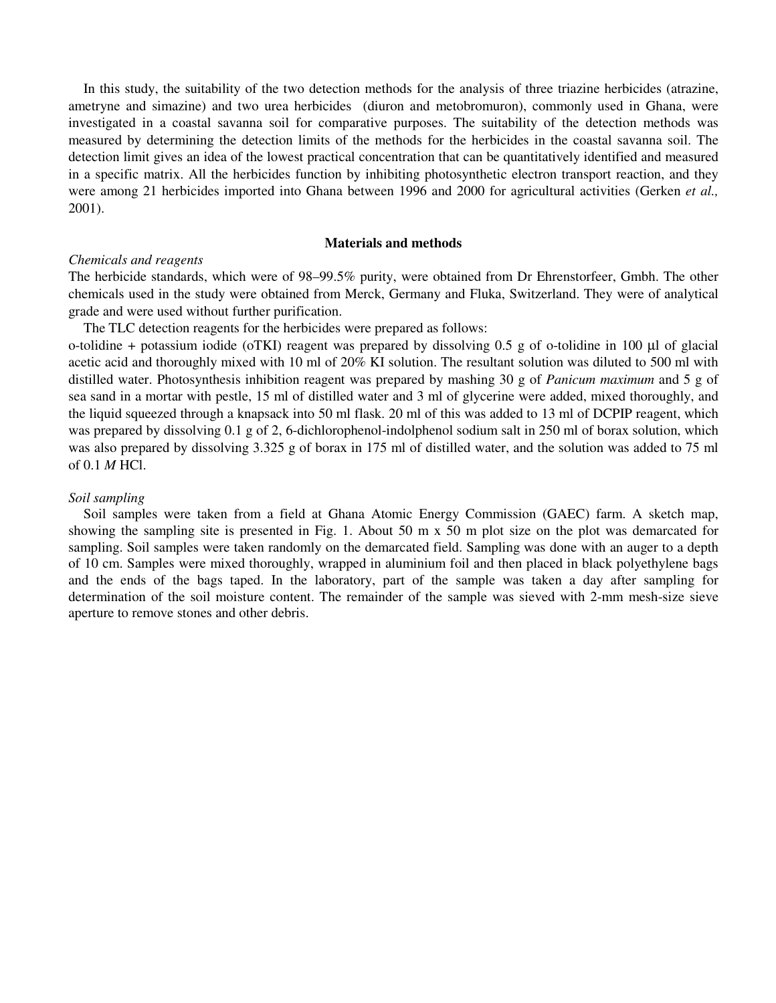In this study, the suitability of the two detection methods for the analysis of three triazine herbicides (atrazine, ametryne and simazine) and two urea herbicides (diuron and metobromuron), commonly used in Ghana, were investigated in a coastal savanna soil for comparative purposes. The suitability of the detection methods was measured by determining the detection limits of the methods for the herbicides in the coastal savanna soil. The detection limit gives an idea of the lowest practical concentration that can be quantitatively identified and measured in a specific matrix. All the herbicides function by inhibiting photosynthetic electron transport reaction, and they were among 21 herbicides imported into Ghana between 1996 and 2000 for agricultural activities (Gerken *et al.,* 2001).

## **Materials and methods**

## *Chemicals and reagents*

The herbicide standards, which were of 98–99.5% purity, were obtained from Dr Ehrenstorfeer, Gmbh. The other chemicals used in the study were obtained from Merck, Germany and Fluka, Switzerland. They were of analytical grade and were used without further purification.

The TLC detection reagents for the herbicides were prepared as follows:

o-tolidine + potassium iodide (oTKI) reagent was prepared by dissolving 0.5 g of o-tolidine in 100  $\mu$ l of glacial acetic acid and thoroughly mixed with 10 ml of 20% KI solution. The resultant solution was diluted to 500 ml with distilled water. Photosynthesis inhibition reagent was prepared by mashing 30 g of *Panicum maximum* and 5 g of sea sand in a mortar with pestle, 15 ml of distilled water and 3 ml of glycerine were added, mixed thoroughly, and the liquid squeezed through a knapsack into 50 ml flask. 20 ml of this was added to 13 ml of DCPIP reagent, which was prepared by dissolving 0.1 g of 2, 6-dichlorophenol-indolphenol sodium salt in 250 ml of borax solution, which was also prepared by dissolving 3.325 g of borax in 175 ml of distilled water, and the solution was added to 75 ml of 0.1 *M* HCl.

## *Soil sampling*

Soil samples were taken from a field at Ghana Atomic Energy Commission (GAEC) farm. A sketch map, showing the sampling site is presented in Fig. 1. About 50 m x 50 m plot size on the plot was demarcated for sampling. Soil samples were taken randomly on the demarcated field. Sampling was done with an auger to a depth of 10 cm. Samples were mixed thoroughly, wrapped in aluminium foil and then placed in black polyethylene bags and the ends of the bags taped. In the laboratory, part of the sample was taken a day after sampling for determination of the soil moisture content. The remainder of the sample was sieved with 2-mm mesh-size sieve aperture to remove stones and other debris.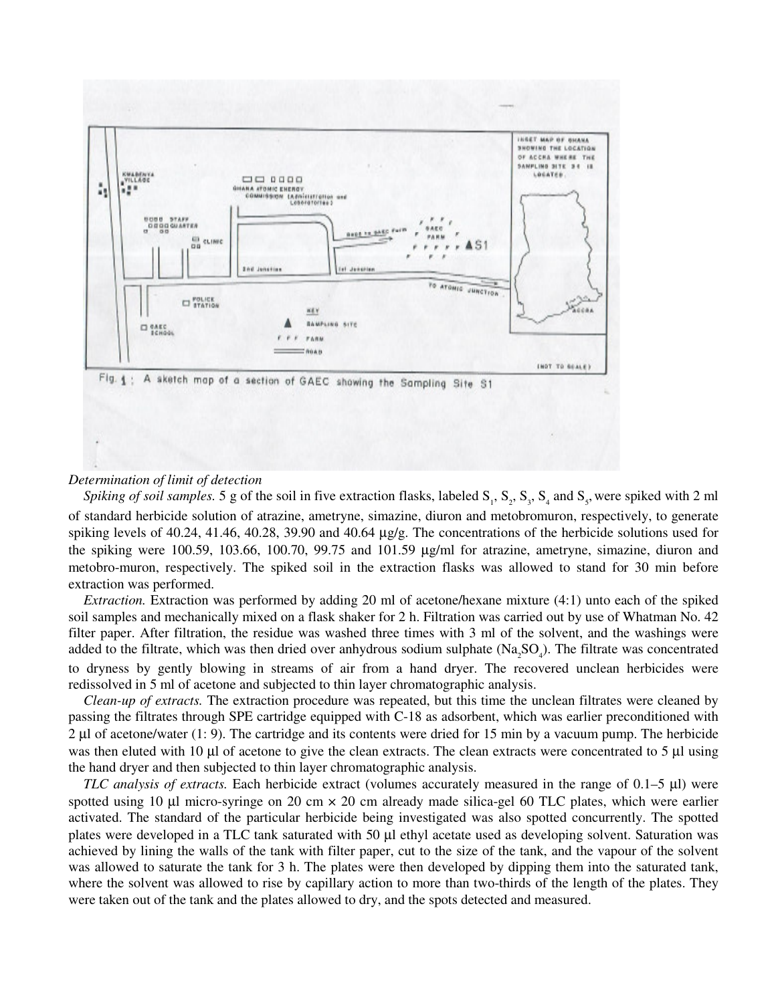

# *Determination of limit of detection*

Spiking of soil samples. 5 g of the soil in five extraction flasks, labeled  $S_1$ ,  $S_2$ ,  $S_3$ ,  $S_4$  and  $S_5$ , were spiked with 2 ml of standard herbicide solution of atrazine, ametryne, simazine, diuron and metobromuron, respectively, to generate spiking levels of 40.24, 41.46, 40.28, 39.90 and 40.64 µg/g. The concentrations of the herbicide solutions used for the spiking were 100.59, 103.66, 100.70, 99.75 and 101.59 µg/ml for atrazine, ametryne, simazine, diuron and metobro-muron, respectively. The spiked soil in the extraction flasks was allowed to stand for 30 min before extraction was performed.

*Extraction.* Extraction was performed by adding 20 ml of acetone/hexane mixture (4:1) unto each of the spiked soil samples and mechanically mixed on a flask shaker for 2 h. Filtration was carried out by use of Whatman No. 42 filter paper. After filtration, the residue was washed three times with 3 ml of the solvent, and the washings were added to the filtrate, which was then dried over anhydrous sodium sulphate  $(Na_2SO_4)$ . The filtrate was concentrated to dryness by gently blowing in streams of air from a hand dryer. The recovered unclean herbicides were redissolved in 5 ml of acetone and subjected to thin layer chromatographic analysis.

*Clean-up of extracts.* The extraction procedure was repeated, but this time the unclean filtrates were cleaned by passing the filtrates through SPE cartridge equipped with C-18 as adsorbent, which was earlier preconditioned with 2 µl of acetone/water (1: 9). The cartridge and its contents were dried for 15 min by a vacuum pump. The herbicide was then eluted with 10  $\mu$ l of acetone to give the clean extracts. The clean extracts were concentrated to 5  $\mu$ l using the hand dryer and then subjected to thin layer chromatographic analysis.

*TLC analysis of extracts.* Each herbicide extract (volumes accurately measured in the range of 0.1–5 µl) were spotted using 10  $\mu$ l micro-syringe on 20 cm  $\times$  20 cm already made silica-gel 60 TLC plates, which were earlier activated. The standard of the particular herbicide being investigated was also spotted concurrently. The spotted plates were developed in a TLC tank saturated with 50 µl ethyl acetate used as developing solvent. Saturation was achieved by lining the walls of the tank with filter paper, cut to the size of the tank, and the vapour of the solvent was allowed to saturate the tank for 3 h. The plates were then developed by dipping them into the saturated tank, where the solvent was allowed to rise by capillary action to more than two-thirds of the length of the plates. They were taken out of the tank and the plates allowed to dry, and the spots detected and measured.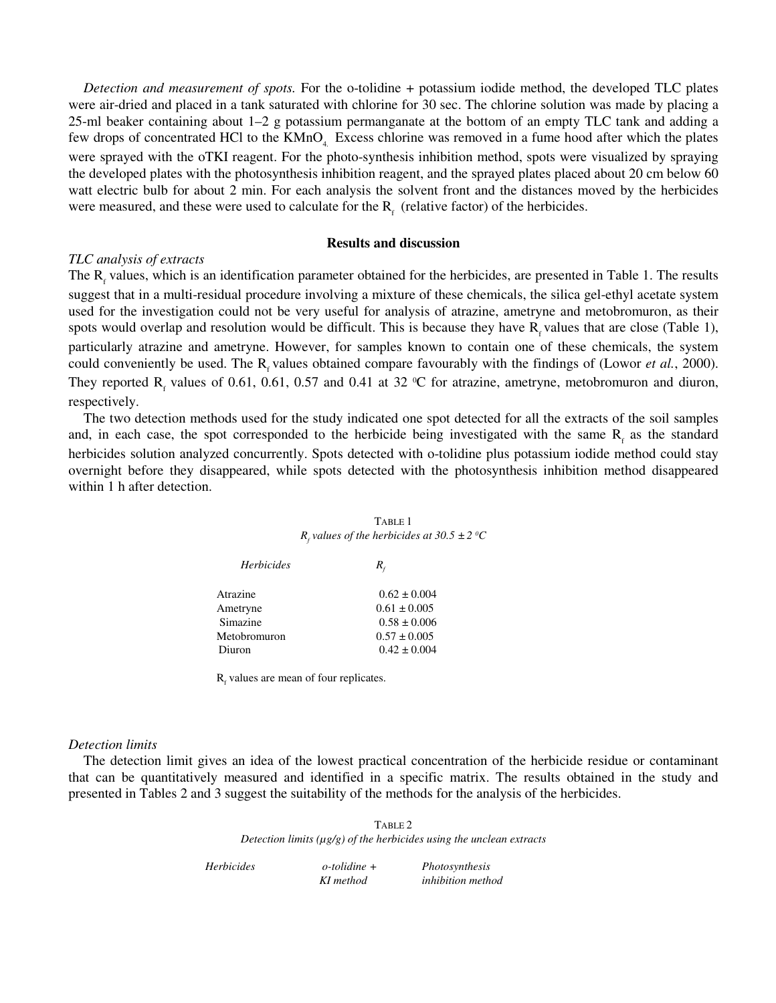*Detection and measurement of spots.* For the o-tolidine + potassium iodide method, the developed TLC plates were air-dried and placed in a tank saturated with chlorine for 30 sec. The chlorine solution was made by placing a 25-ml beaker containing about 1–2 g potassium permanganate at the bottom of an empty TLC tank and adding a few drops of concentrated HCl to the  $KMnO<sub>4</sub>$ . Excess chlorine was removed in a fume hood after which the plates were sprayed with the oTKI reagent. For the photo-synthesis inhibition method, spots were visualized by spraying the developed plates with the photosynthesis inhibition reagent, and the sprayed plates placed about 20 cm below 60 watt electric bulb for about 2 min. For each analysis the solvent front and the distances moved by the herbicides were measured, and these were used to calculate for the  $R_f$  (relative factor) of the herbicides.

### **Results and discussion**

# *TLC analysis of extracts*

The  $R_f$  values, which is an identification parameter obtained for the herbicides, are presented in Table 1. The results suggest that in a multi-residual procedure involving a mixture of these chemicals, the silica gel-ethyl acetate system used for the investigation could not be very useful for analysis of atrazine, ametryne and metobromuron, as their spots would overlap and resolution would be difficult. This is because they have  $R<sub>s</sub>$  values that are close (Table 1), particularly atrazine and ametryne. However, for samples known to contain one of these chemicals, the system could conveniently be used. The R<sub>f</sub> values obtained compare favourably with the findings of (Lowor *et al.*, 2000). They reported  $R_f$  values of 0.61, 0.61, 0.57 and 0.41 at 32 °C for atrazine, ametryne, metobromuron and diuron, respectively.

The two detection methods used for the study indicated one spot detected for all the extracts of the soil samples and, in each case, the spot corresponded to the herbicide being investigated with the same  $R_f$  as the standard herbicides solution analyzed concurrently. Spots detected with o-tolidine plus potassium iodide method could stay overnight before they disappeared, while spots detected with the photosynthesis inhibition method disappeared within 1 h after detection.

> TABLE 1 *R<sub>f</sub>* values of the herbicides at 30.5  $\pm$  2 <sup>o</sup>C

| <b>Herbicides</b> | $R_{\epsilon}$   |
|-------------------|------------------|
| Atrazine          | $0.62 \pm 0.004$ |
| Ametryne          | $0.61 \pm 0.005$ |
| Simazine          | $0.58 \pm 0.006$ |
| Metobromuron      | $0.57 \pm 0.005$ |
| Diuron            | $0.42 \pm 0.004$ |

 $R_f$  values are mean of four replicates.

## *Detection limits*

The detection limit gives an idea of the lowest practical concentration of the herbicide residue or contaminant that can be quantitatively measured and identified in a specific matrix. The results obtained in the study and presented in Tables 2 and 3 suggest the suitability of the methods for the analysis of the herbicides.

> TABLE 2 *Detection limits (µg/g) of the herbicides using the unclean extracts*

*Herbicides o-tolidine + Photosynthesis KI method inhibition method*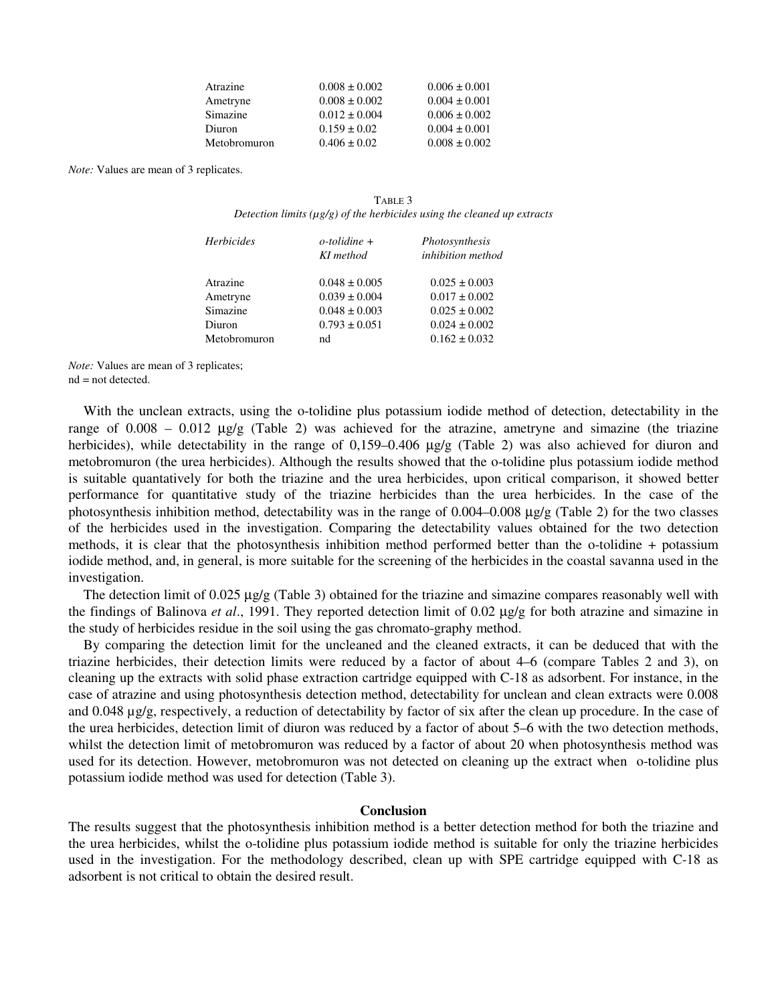| Atrazine     | $0.008 \pm 0.002$ | $0.006 \pm 0.001$ |
|--------------|-------------------|-------------------|
| Ametryne     | $0.008 \pm 0.002$ | $0.004 \pm 0.001$ |
| Simazine     | $0.012 \pm 0.004$ | $0.006 \pm 0.002$ |
| Diuron       | $0.159 \pm 0.02$  | $0.004 \pm 0.001$ |
| Metobromuron | $0.406 \pm 0.02$  | $0.008 \pm 0.002$ |

*Note:* Values are mean of 3 replicates.

# TABLE 3 *Detection limits (µg/g) of the herbicides using the cleaned up extracts*

| <b>Herbicides</b> | $o$ -tolidine +<br>KI method | Photosynthesis<br>inhibition method |
|-------------------|------------------------------|-------------------------------------|
| Atrazine          | $0.048 \pm 0.005$            | $0.025 \pm 0.003$                   |
| Ametryne          | $0.039 \pm 0.004$            | $0.017 \pm 0.002$                   |
| Simazine          | $0.048 \pm 0.003$            | $0.025 \pm 0.002$                   |
| Diuron            | $0.793 \pm 0.051$            | $0.024 \pm 0.002$                   |
| Metobromuron      | nd                           | $0.162 \pm 0.032$                   |

*Note:* Values are mean of 3 replicates; nd = not detected.

With the unclean extracts, using the o-tolidine plus potassium iodide method of detection, detectability in the range of 0.008 – 0.012 µg/g (Table 2) was achieved for the atrazine, ametryne and simazine (the triazine herbicides), while detectability in the range of 0,159–0.406 µg/g (Table 2) was also achieved for diuron and metobromuron (the urea herbicides). Although the results showed that the o-tolidine plus potassium iodide method is suitable quantatively for both the triazine and the urea herbicides, upon critical comparison, it showed better performance for quantitative study of the triazine herbicides than the urea herbicides. In the case of the photosynthesis inhibition method, detectability was in the range of  $0.004-0.008 \mu g/g$  (Table 2) for the two classes of the herbicides used in the investigation. Comparing the detectability values obtained for the two detection methods, it is clear that the photosynthesis inhibition method performed better than the o-tolidine + potassium iodide method, and, in general, is more suitable for the screening of the herbicides in the coastal savanna used in the investigation.

The detection limit of 0.025 µg/g (Table 3) obtained for the triazine and simazine compares reasonably well with the findings of Balinova *et al*., 1991. They reported detection limit of 0.02 µg/g for both atrazine and simazine in the study of herbicides residue in the soil using the gas chromato-graphy method.

By comparing the detection limit for the uncleaned and the cleaned extracts, it can be deduced that with the triazine herbicides, their detection limits were reduced by a factor of about 4–6 (compare Tables 2 and 3), on cleaning up the extracts with solid phase extraction cartridge equipped with C-18 as adsorbent. For instance, in the case of atrazine and using photosynthesis detection method, detectability for unclean and clean extracts were 0.008 and 0.048 µg/g, respectively, a reduction of detectability by factor of six after the clean up procedure. In the case of the urea herbicides, detection limit of diuron was reduced by a factor of about 5–6 with the two detection methods, whilst the detection limit of metobromuron was reduced by a factor of about 20 when photosynthesis method was used for its detection. However, metobromuron was not detected on cleaning up the extract when o-tolidine plus potassium iodide method was used for detection (Table 3).

#### **Conclusion**

The results suggest that the photosynthesis inhibition method is a better detection method for both the triazine and the urea herbicides, whilst the o-tolidine plus potassium iodide method is suitable for only the triazine herbicides used in the investigation. For the methodology described, clean up with SPE cartridge equipped with C-18 as adsorbent is not critical to obtain the desired result.